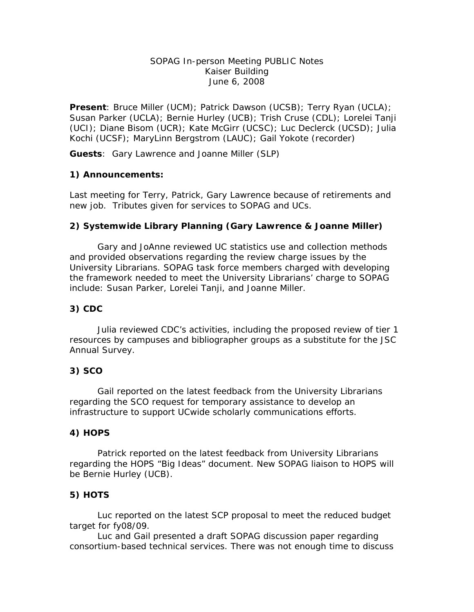#### SOPAG In-person Meeting PUBLIC Notes Kaiser Building June 6, 2008

**Present**: Bruce Miller (UCM); Patrick Dawson (UCSB); Terry Ryan (UCLA); Susan Parker (UCLA); Bernie Hurley (UCB); Trish Cruse (CDL); Lorelei Tanji (UCI); Diane Bisom (UCR); Kate McGirr (UCSC); Luc Declerck (UCSD); Julia Kochi (UCSF); MaryLinn Bergstrom (LAUC); Gail Yokote (recorder)

**Guests**: Gary Lawrence and Joanne Miller (SLP)

### **1) Announcements:**

Last meeting for Terry, Patrick, Gary Lawrence because of retirements and new job. Tributes given for services to SOPAG and UCs.

### **2) Systemwide Library Planning (Gary Lawrence & Joanne Miller)**

 Gary and JoAnne reviewed UC statistics use and collection methods and provided observations regarding the review charge issues by the University Librarians. SOPAG task force members charged with developing the framework needed to meet the University Librarians' charge to SOPAG include: Susan Parker, Lorelei Tanji, and Joanne Miller.

#### **3) CDC**

 Julia reviewed CDC's activities, including the proposed review of tier 1 resources by campuses and bibliographer groups as a substitute for the JSC Annual Survey.

#### **3) SCO**

 Gail reported on the latest feedback from the University Librarians regarding the SCO request for temporary assistance to develop an infrastructure to support UCwide scholarly communications efforts.

#### **4) HOPS**

 Patrick reported on the latest feedback from University Librarians regarding the HOPS "Big Ideas" document. New SOPAG liaison to HOPS will be Bernie Hurley (UCB).

## **5) HOTS**

 Luc reported on the latest SCP proposal to meet the reduced budget target for fy08/09.

 Luc and Gail presented a draft SOPAG discussion paper regarding consortium-based technical services. There was not enough time to discuss